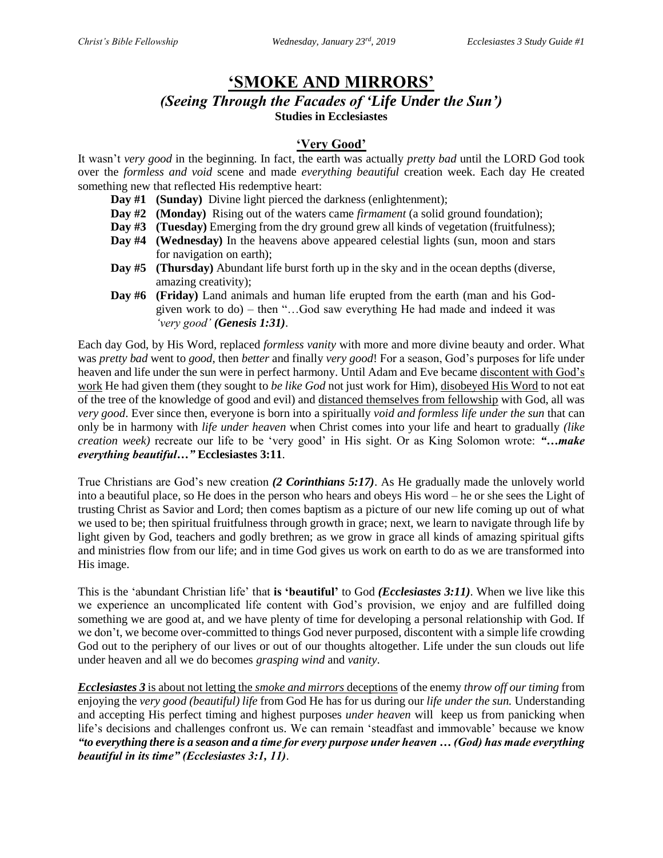# **'SMOKE AND MIRRORS'**

*(Seeing Through the Facades of 'Life Under the Sun')*

**Studies in Ecclesiastes**

### **'Very Good'**

It wasn't *very good* in the beginning. In fact, the earth was actually *pretty bad* until the LORD God took over the *formless and void* scene and made *everything beautiful* creation week. Each day He created something new that reflected His redemptive heart:

- **Day #1** (Sunday) Divine light pierced the darkness (enlightenment);
- **Day #2 (Monday)** Rising out of the waters came *firmament* (a solid ground foundation);
- **Day #3** (Tuesday) Emerging from the dry ground grew all kinds of vegetation (fruitfulness);
- **Day #4 (Wednesday)** In the heavens above appeared celestial lights (sun, moon and stars for navigation on earth);
- **Day #5 (Thursday)** Abundant life burst forth up in the sky and in the ocean depths (diverse, amazing creativity);
- **Day #6 (Friday)** Land animals and human life erupted from the earth (man and his Godgiven work to do) – then "…God saw everything He had made and indeed it was *'very good' (Genesis 1:31)*.

Each day God, by His Word, replaced *formless vanity* with more and more divine beauty and order. What was *pretty bad* went to *good*, then *better* and finally *very good*! For a season, God's purposes for life under heaven and life under the sun were in perfect harmony. Until Adam and Eve became discontent with God's work He had given them (they sought to *be like God* not just work for Him), disobeyed His Word to not eat of the tree of the knowledge of good and evil) and distanced themselves from fellowship with God, all was *very good*. Ever since then, everyone is born into a spiritually *void and formless life under the sun* that can only be in harmony with *life under heaven* when Christ comes into your life and heart to gradually *(like creation week)* recreate our life to be 'very good' in His sight. Or as King Solomon wrote: *"…make everything beautiful…"* **Ecclesiastes 3:11**.

True Christians are God's new creation *(2 Corinthians 5:17)*. As He gradually made the unlovely world into a beautiful place, so He does in the person who hears and obeys His word – he or she sees the Light of trusting Christ as Savior and Lord; then comes baptism as a picture of our new life coming up out of what we used to be; then spiritual fruitfulness through growth in grace; next, we learn to navigate through life by light given by God, teachers and godly brethren; as we grow in grace all kinds of amazing spiritual gifts and ministries flow from our life; and in time God gives us work on earth to do as we are transformed into His image.

This is the 'abundant Christian life' that **is 'beautiful'** to God *(Ecclesiastes 3:11)*. When we live like this we experience an uncomplicated life content with God's provision, we enjoy and are fulfilled doing something we are good at, and we have plenty of time for developing a personal relationship with God. If we don't, we become over-committed to things God never purposed, discontent with a simple life crowding God out to the periphery of our lives or out of our thoughts altogether. Life under the sun clouds out life under heaven and all we do becomes *grasping wind* and *vanity*.

*Ecclesiastes 3* is about not letting the *smoke and mirrors* deceptions of the enemy *throw off our timing* from enjoying the *very good (beautiful) life* from God He has for us during our *life under the sun.* Understanding and accepting His perfect timing and highest purposes *under heaven* will keep us from panicking when life's decisions and challenges confront us. We can remain 'steadfast and immovable' because we know *"to everything there is a season and a time for every purpose under heaven … (God) has made everything beautiful in its time" (Ecclesiastes 3:1, 11)*.